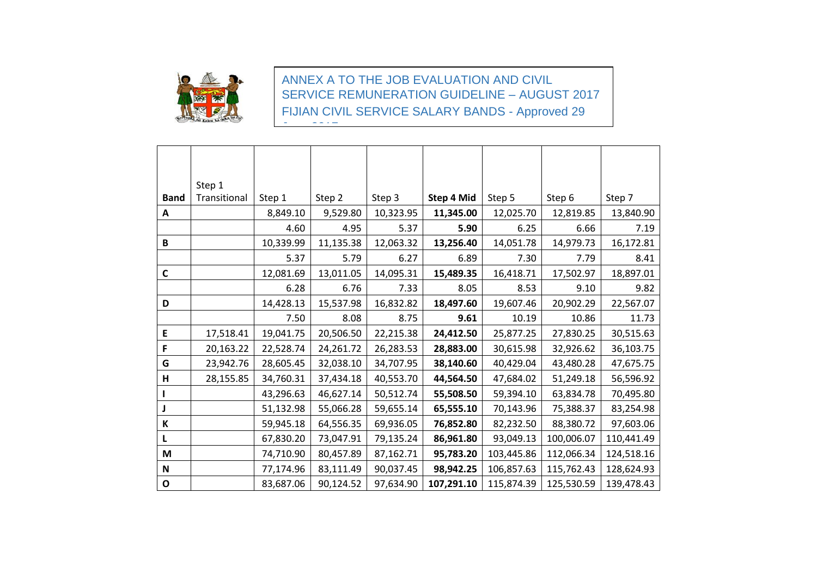

<u>June 2017</u>

ANNEX A TO THE JOB EVALUATION AND CIVIL SERVICE REMUNERATION GUIDELINE – AUGUST 2017 FIJIAN CIVIL SERVICE SALARY BANDS - Approved 29

|                           | Step 1       |           |           |           |            |            |            |            |
|---------------------------|--------------|-----------|-----------|-----------|------------|------------|------------|------------|
| <b>Band</b>               | Transitional | Step 1    | Step 2    | Step 3    | Step 4 Mid | Step 5     | Step 6     | Step 7     |
| A                         |              | 8,849.10  | 9,529.80  | 10,323.95 | 11,345.00  | 12,025.70  | 12,819.85  | 13,840.90  |
|                           |              | 4.60      | 4.95      | 5.37      | 5.90       | 6.25       | 6.66       | 7.19       |
| B                         |              | 10,339.99 | 11,135.38 | 12,063.32 | 13,256.40  | 14,051.78  | 14,979.73  | 16,172.81  |
|                           |              | 5.37      | 5.79      | 6.27      | 6.89       | 7.30       | 7.79       | 8.41       |
| $\mathsf C$               |              | 12,081.69 | 13,011.05 | 14,095.31 | 15,489.35  | 16,418.71  | 17,502.97  | 18,897.01  |
|                           |              | 6.28      | 6.76      | 7.33      | 8.05       | 8.53       | 9.10       | 9.82       |
| D                         |              | 14,428.13 | 15,537.98 | 16,832.82 | 18,497.60  | 19,607.46  | 20,902.29  | 22,567.07  |
|                           |              | 7.50      | 8.08      | 8.75      | 9.61       | 10.19      | 10.86      | 11.73      |
| E                         | 17,518.41    | 19,041.75 | 20,506.50 | 22,215.38 | 24,412.50  | 25,877.25  | 27,830.25  | 30,515.63  |
| F                         | 20,163.22    | 22,528.74 | 24,261.72 | 26,283.53 | 28,883.00  | 30,615.98  | 32,926.62  | 36,103.75  |
| G                         | 23,942.76    | 28,605.45 | 32,038.10 | 34,707.95 | 38,140.60  | 40,429.04  | 43,480.28  | 47,675.75  |
| H                         | 28,155.85    | 34,760.31 | 37,434.18 | 40,553.70 | 44,564.50  | 47,684.02  | 51,249.18  | 56,596.92  |
|                           |              | 43,296.63 | 46,627.14 | 50,512.74 | 55,508.50  | 59,394.10  | 63,834.78  | 70,495.80  |
|                           |              | 51,132.98 | 55,066.28 | 59,655.14 | 65,555.10  | 70,143.96  | 75,388.37  | 83,254.98  |
| K                         |              | 59,945.18 | 64,556.35 | 69,936.05 | 76,852.80  | 82,232.50  | 88,380.72  | 97,603.06  |
| L                         |              | 67,830.20 | 73,047.91 | 79,135.24 | 86,961.80  | 93,049.13  | 100,006.07 | 110,441.49 |
| M                         |              | 74,710.90 | 80,457.89 | 87,162.71 | 95,783.20  | 103,445.86 | 112,066.34 | 124,518.16 |
| $\boldsymbol{\mathsf{N}}$ |              | 77,174.96 | 83,111.49 | 90,037.45 | 98,942.25  | 106,857.63 | 115,762.43 | 128,624.93 |
| $\mathbf O$               |              | 83,687.06 | 90,124.52 | 97,634.90 | 107,291.10 | 115,874.39 | 125,530.59 | 139,478.43 |